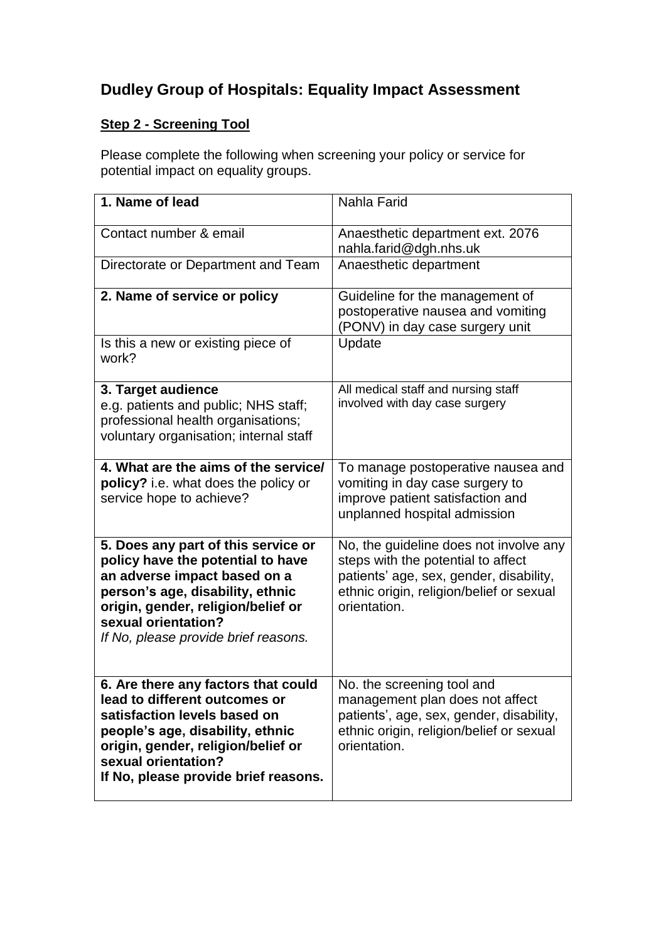## **Dudley Group of Hospitals: Equality Impact Assessment**

## **Step 2 - Screening Tool**

Please complete the following when screening your policy or service for potential impact on equality groups.

| 1. Name of lead                                                              | Nahla Farid                                              |
|------------------------------------------------------------------------------|----------------------------------------------------------|
|                                                                              |                                                          |
| Contact number & email                                                       | Anaesthetic department ext. 2076                         |
|                                                                              | nahla.farid@dgh.nhs.uk                                   |
| Directorate or Department and Team                                           | Anaesthetic department                                   |
| 2. Name of service or policy                                                 | Guideline for the management of                          |
|                                                                              | postoperative nausea and vomiting                        |
| Is this a new or existing piece of                                           | (PONV) in day case surgery unit<br>Update                |
| work?                                                                        |                                                          |
|                                                                              |                                                          |
| 3. Target audience                                                           | All medical staff and nursing staff                      |
| e.g. patients and public; NHS staff;                                         | involved with day case surgery                           |
| professional health organisations;<br>voluntary organisation; internal staff |                                                          |
|                                                                              |                                                          |
| 4. What are the aims of the service/                                         | To manage postoperative nausea and                       |
| policy? i.e. what does the policy or                                         | vomiting in day case surgery to                          |
| service hope to achieve?                                                     | improve patient satisfaction and                         |
|                                                                              | unplanned hospital admission                             |
| 5. Does any part of this service or                                          | No, the guideline does not involve any                   |
| policy have the potential to have                                            | steps with the potential to affect                       |
| an adverse impact based on a                                                 | patients' age, sex, gender, disability,                  |
| person's age, disability, ethnic<br>origin, gender, religion/belief or       | ethnic origin, religion/belief or sexual<br>orientation. |
| sexual orientation?                                                          |                                                          |
| If No, please provide brief reasons.                                         |                                                          |
|                                                                              |                                                          |
| 6. Are there any factors that could                                          | No. the screening tool and                               |
| lead to different outcomes or                                                | management plan does not affect                          |
| satisfaction levels based on                                                 | patients', age, sex, gender, disability,                 |
| people's age, disability, ethnic                                             | ethnic origin, religion/belief or sexual                 |
| origin, gender, religion/belief or<br>sexual orientation?                    | orientation.                                             |
| If No, please provide brief reasons.                                         |                                                          |
|                                                                              |                                                          |